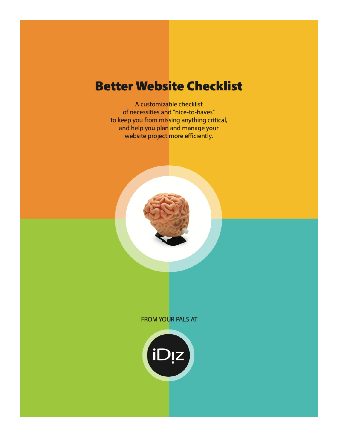# **Better Website Checklist**

A customizable checklist of necessities and "nice-to-haves" to keep you from missing anything critical, and help you plan and manage your website project more efficiently.



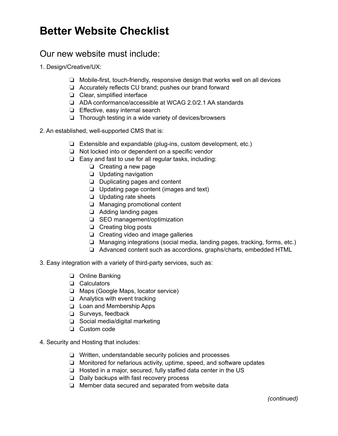## **Better Website Checklist**

#### Our new website must include:

- 1. Design/Creative/UX:
	- ❏ Mobile-first, touch-friendly, responsive design that works well on all devices
	- ❏ Accurately reflects CU brand; pushes our brand forward
	- ❏ Clear, simplified interface
	- ❏ ADA conformance/accessible at WCAG 2.0/2.1 AA standards
	- ❏ Effective, easy internal search
	- ❏ Thorough testing in a wide variety of devices/browsers
- 2. An established, well-supported CMS that is:
	- ❏ Extensible and expandable (plug-ins, custom development, etc.)
	- ❏ Not locked into or dependent on a specific vendor
	- ❏ Easy and fast to use for all regular tasks, including:
		- ❏ Creating a new page
		- ❏ Updating navigation
		- ❏ Duplicating pages and content
		- ❏ Updating page content (images and text)
		- ❏ Updating rate sheets
		- ❏ Managing promotional content
		- ❏ Adding landing pages
		- ❏ SEO management/optimization
		- ❏ Creating blog posts
		- ❏ Creating video and image galleries
		- ❏ Managing integrations (social media, landing pages, tracking, forms, etc.)
		- ❏ Advanced content such as accordions, graphs/charts, embedded HTML
- 3. Easy integration with a variety of third-party services, such as:
	- ❏ Online Banking
	- ❏ Calculators
	- ❏ Maps (Google Maps, locator service)
	- ❏ Analytics with event tracking
	- ❏ Loan and Membership Apps
	- ❏ Surveys, feedback
	- ❏ Social media/digital marketing
	- ❏ Custom code
- 4. Security and Hosting that includes:
	- ❏ Written, understandable security policies and processes
	- ❏ Monitored for nefarious activity, uptime, speed, and software updates
	- ❏ Hosted in a major, secured, fully staffed data center in the US
	- ❏ Daily backups with fast recovery process
	- ❏ Member data secured and separated from website data

*(continued)*